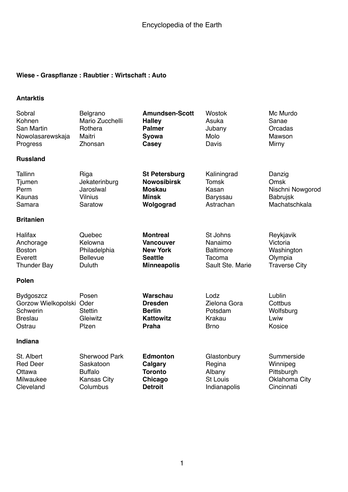### **Wiese - Graspflanze : Raubtier : Wirtschaft : Auto**

#### **Antarktis**

| Sobral<br>Kohnen<br>San Martin<br>Nowolasarewskaja<br>Progress                       | Belgrano<br>Mario Zucchelli<br>Rothera<br>Maitri<br>Zhonsan                           | <b>Amundsen-Scott</b><br><b>Halley</b><br><b>Palmer</b><br>Syowa<br>Casey                      | <b>Wostok</b><br>Asuka<br>Jubany<br>Molo<br>Davis                     | Mc Murdo<br>Sanae<br>Orcadas<br>Mawson<br>Mirny                            |
|--------------------------------------------------------------------------------------|---------------------------------------------------------------------------------------|------------------------------------------------------------------------------------------------|-----------------------------------------------------------------------|----------------------------------------------------------------------------|
| <b>Russland</b>                                                                      |                                                                                       |                                                                                                |                                                                       |                                                                            |
| <b>Tallinn</b><br>Tjumen<br>Perm<br>Kaunas<br>Samara                                 | Riga<br>Jekaterinburg<br>Jaroslwal<br><b>Vilnius</b><br>Saratow                       | <b>St Petersburg</b><br><b>Nowosibirsk</b><br><b>Moskau</b><br><b>Minsk</b><br>Wolgograd       | Kaliningrad<br><b>Tomsk</b><br>Kasan<br>Baryssau<br>Astrachan         | Danzig<br>Omsk<br>Nischni Nowgorod<br><b>Babrujsk</b><br>Machatschkala     |
| <b>Britanien</b>                                                                     |                                                                                       |                                                                                                |                                                                       |                                                                            |
| Halifax<br>Anchorage<br><b>Boston</b><br>Everett<br><b>Thunder Bay</b>               | Quebec<br>Kelowna<br>Philadelphia<br><b>Bellevue</b><br>Duluth                        | <b>Montreal</b><br><b>Vancouver</b><br><b>New York</b><br><b>Seattle</b><br><b>Minneapolis</b> | St Johns<br>Nanaimo<br><b>Baltimore</b><br>Tacoma<br>Sault Ste. Marie | Reykjavik<br>Victoria<br>Washington<br>Olympia<br><b>Traverse City</b>     |
| <b>Polen</b>                                                                         |                                                                                       |                                                                                                |                                                                       |                                                                            |
| <b>Bydgoszcz</b><br>Gorzow Wielkopolski Oder<br>Schwerin<br><b>Breslau</b><br>Ostrau | Posen<br><b>Stettin</b><br>Gleiwitz<br>Plzen                                          | Warschau<br><b>Dresden</b><br><b>Berlin</b><br><b>Kattowitz</b><br><b>Praha</b>                | Lodz<br>Zielona Gora<br>Potsdam<br><b>Krakau</b><br><b>Brno</b>       | Lublin<br>Cottbus<br>Wolfsburg<br>Lwiw<br>Kosice                           |
| Indiana                                                                              |                                                                                       |                                                                                                |                                                                       |                                                                            |
| St. Albert<br><b>Red Deer</b><br>Ottawa<br>Milwaukee<br>Cleveland                    | <b>Sherwood Park</b><br>Saskatoon<br><b>Buffalo</b><br><b>Kansas City</b><br>Columbus | <b>Edmonton</b><br><b>Calgary</b><br><b>Toronto</b><br>Chicago<br><b>Detroit</b>               | Glastonbury<br>Regina<br>Albany<br><b>St Louis</b><br>Indianapolis    | Summerside<br>Winnipeg<br>Pittsburgh<br><b>Oklahoma City</b><br>Cincinnati |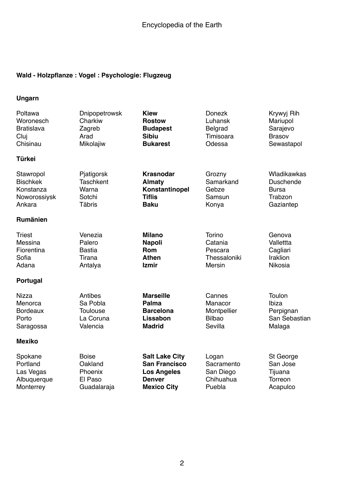# **Wald - Holzpflanze : Vogel : Psychologie: Flugzeug**

### **Ungarn**

| Poltawa           | Dnipopetrowsk    | <b>Kiew</b>           | <b>Donezk</b>  | Krywyj Rih       |
|-------------------|------------------|-----------------------|----------------|------------------|
| Woronesch         | Charkiw          | <b>Rostow</b>         | Luhansk        | Mariupol         |
| <b>Bratislava</b> | Zagreb           | <b>Budapest</b>       | <b>Belgrad</b> | Sarajevo         |
| Cluj              | Arad             | <b>Sibiu</b>          | Timisoara      | <b>Brasov</b>    |
| Chisinau          | Mikolajiw        | <b>Bukarest</b>       | Odessa         | Sewastapol       |
| Türkei            |                  |                       |                |                  |
| Stawropol         | Pjatigorsk       | <b>Krasnodar</b>      | Grozny         | Wladikawkas      |
| <b>Bischkek</b>   | <b>Taschkent</b> | <b>Almaty</b>         | Samarkand      | <b>Duschende</b> |
| Konstanza         | Warna            | Konstantinopel        | Gebze          | <b>Bursa</b>     |
| Noworossiysk      | Sotchi           | <b>Tiflis</b>         | Samsun         | Trabzon          |
| Ankara            | <b>Täbris</b>    | <b>Baku</b>           | Konya          | Gaziantep        |
| Rumänien          |                  |                       |                |                  |
| Triest            | Venezia          | <b>Milano</b>         | Torino         | Genova           |
| Messina           | Palero           | <b>Napoli</b>         | Catania        | Vallettta        |
| Fiorentina        | <b>Bastia</b>    | Rom                   | Pescara        | Cagliari         |
| Sofia             | Tirana           | <b>Athen</b>          | Thessaloniki   | <b>Iraklion</b>  |
| Adana             | Antalya          | <b>Izmir</b>          | Mersin         | Nikosia          |
| Portugal          |                  |                       |                |                  |
| Nizza             | Antibes          | <b>Marseille</b>      | Cannes         | Toulon           |
| Menorca           | Sa Pobla         | <b>Palma</b>          | Manacor        | Ibiza            |
| <b>Bordeaux</b>   | <b>Toulouse</b>  | <b>Barcelona</b>      | Montpellier    | Perpignan        |
| Porto             | La Coruna        | Lissabon              | <b>Bilbao</b>  | San Sebastian    |
| Saragossa         | Valencia         | <b>Madrid</b>         | Sevilla        | Malaga           |
| <b>Mexiko</b>     |                  |                       |                |                  |
| Spokane           | <b>Boise</b>     | <b>Salt Lake City</b> | Logan          | St George        |
| Portland          | Oakland          | <b>San Francisco</b>  | Sacramento     | San Jose         |
| Las Vegas         | Phoenix          | <b>Los Angeles</b>    | San Diego      | Tijuana          |
| Albuquerque       | El Paso          | <b>Denver</b>         | Chihuahua      | Torreon          |
| Monterrey         | Guadalaraja      | <b>Mexico City</b>    | Puebla         | Acapulco         |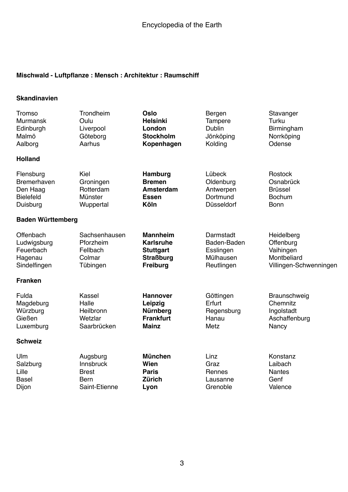### **Mischwald - Luftpflanze : Mensch : Architektur : Raumschiff**

#### **Skandinavien**

| <b>Tromso</b>            | Trondheim     | <b>Oslo</b>      | Bergen         | Stavanger              |
|--------------------------|---------------|------------------|----------------|------------------------|
| <b>Murmansk</b>          | Oulu          | <b>Helsinki</b>  | <b>Tampere</b> | Turku                  |
| Edinburgh                | Liverpool     | London           | <b>Dublin</b>  | Birmingham             |
| Malmö                    | Göteborg      | <b>Stockholm</b> | Jönköping      | Norrköping             |
| Aalborg                  | Aarhus        | Kopenhagen       | Kolding        | Odense                 |
| <b>Holland</b>           |               |                  |                |                        |
| Flensburg                | Kiel          | Hamburg          | Lübeck         | Rostock                |
| <b>Bremerhaven</b>       | Groningen     | <b>Bremen</b>    | Oldenburg      | Osnabrück              |
| Den Haag                 | Rotterdam     | Amsterdam        | Antwerpen      | <b>Brüssel</b>         |
| <b>Bielefeld</b>         | Münster       | Essen            | Dortmund       | <b>Bochum</b>          |
| Duisburg                 | Wuppertal     | Köln             | Düsseldorf     | <b>Bonn</b>            |
| <b>Baden Württemberg</b> |               |                  |                |                        |
| Offenbach                | Sachsenhausen | <b>Mannheim</b>  | Darmstadt      | Heidelberg             |
| Ludwigsburg              | Pforzheim     | <b>Karlsruhe</b> | Baden-Baden    | Offenburg              |
| Feuerbach                | Fellbach      | <b>Stuttgart</b> | Esslingen      | Vaihingen              |
| Hagenau                  | Colmar        | <b>Straßburg</b> | Mülhausen      | Montbeliard            |
| Sindelfingen             | Tübingen      | <b>Freiburg</b>  | Reutlingen     | Villingen-Schwenningen |
| <b>Franken</b>           |               |                  |                |                        |
| Fulda                    | Kassel        | <b>Hannover</b>  | Göttingen      | Braunschweig           |
| Magdeburg                | Halle         | Leipzig          | Erfurt         | Chemnitz               |
| Würzburg                 | Heilbronn     | Nürnberg         | Regensburg     | Ingolstadt             |
| Gießen                   | Wetzlar       | <b>Frankfurt</b> | Hanau          | Aschaffenburg          |
| Luxemburg                | Saarbrücken   | <b>Mainz</b>     | Metz           | Nancy                  |
| <b>Schweiz</b>           |               |                  |                |                        |
| Ulm                      | Augsburg      | <b>München</b>   | Linz           | Konstanz               |
| Salzburg                 | Innsbruck     | Wien             | Graz           | Laibach                |
| Lille                    | <b>Brest</b>  | <b>Paris</b>     | Rennes         | <b>Nantes</b>          |
| <b>Basel</b>             | <b>Bern</b>   | <b>Zürich</b>    | Lausanne       | Genf                   |
| Dijon                    | Saint-Etienne | Lyon             | Grenoble       | Valence                |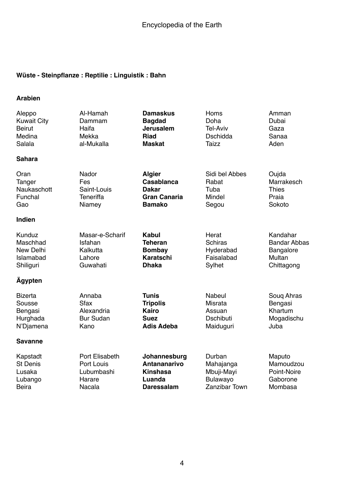# **Wüste - Steinpflanze : Reptilie : Linguistik : Bahn**

#### **Arabien**

| Aleppo             | Al-Hamah         | <b>Damaskus</b>     | Homs             | Amman               |
|--------------------|------------------|---------------------|------------------|---------------------|
| <b>Kuwait City</b> | Dammam           | <b>Bagdad</b>       | Doha             | Dubai               |
| <b>Beirut</b>      | Haifa            | <b>Jerusalem</b>    | <b>Tel-Aviv</b>  | Gaza                |
| Medina             | Mekka            | <b>Riad</b>         | <b>Dschidda</b>  | Sanaa               |
| Salala             | al-Mukalla       | <b>Maskat</b>       | <b>Taizz</b>     | Aden                |
| <b>Sahara</b>      |                  |                     |                  |                     |
| Oran               | Nador            | <b>Algier</b>       | Sidi bel Abbes   | Oujda               |
| Tanger             | Fes              | Casablanca          | Rabat            | Marrakesch          |
| Naukaschott        | Saint-Louis      | <b>Dakar</b>        | Tuba             | <b>Thies</b>        |
| Funchal            | Teneriffa        | <b>Gran Canaria</b> | Mindel           | Praia               |
| Gao                | Niamey           | <b>Bamako</b>       | Segou            | Sokoto              |
| Indien             |                  |                     |                  |                     |
| Kunduz             | Masar-e-Scharif  | Kabul               | Herat            | Kandahar            |
| Maschhad           | Isfahan          | <b>Teheran</b>      | <b>Schiras</b>   | <b>Bandar Abbas</b> |
| New Delhi          | Kalkutta         | <b>Bombay</b>       | Hyderabad        | <b>Bangalore</b>    |
| Islamabad          | Lahore           | <b>Karatschi</b>    | Faisalabad       | Multan              |
| Shiliguri          | Guwahati         | <b>Dhaka</b>        | Sylhet           | Chittagong          |
| <b>Agypten</b>     |                  |                     |                  |                     |
| <b>Bizerta</b>     | Annaba           | <b>Tunis</b>        | Nabeul           | Soug Ahras          |
| Sousse             | <b>Sfax</b>      | <b>Tripolis</b>     | Misrata          | Bengasi             |
| Bengasi            | Alexandria       | Kairo               | Assuan           | Khartum             |
| Hurghada           | <b>Bur Sudan</b> | <b>Suez</b>         | <b>Dschibuti</b> | Mogadischu          |
| N'Djamena          | Kano             | <b>Adis Adeba</b>   | Maiduguri        | Juba                |
| <b>Savanne</b>     |                  |                     |                  |                     |
| Kapstadt           | Port Elisabeth   | Johannesburg        | Durban           | Maputo              |
| <b>St Denis</b>    | Port Louis       | <b>Antananarivo</b> | Mahajanga        | Mamoudzou           |
| Lusaka             | Lubumbashi       | <b>Kinshasa</b>     | Mbuji-Mayi       | Point-Noire         |
| Lubango            | Harare           | Luanda              | Bulawayo         | Gaborone            |
| <b>Beira</b>       | <b>Nacala</b>    | <b>Daressalam</b>   | Zanzibar Town    | Mombasa             |